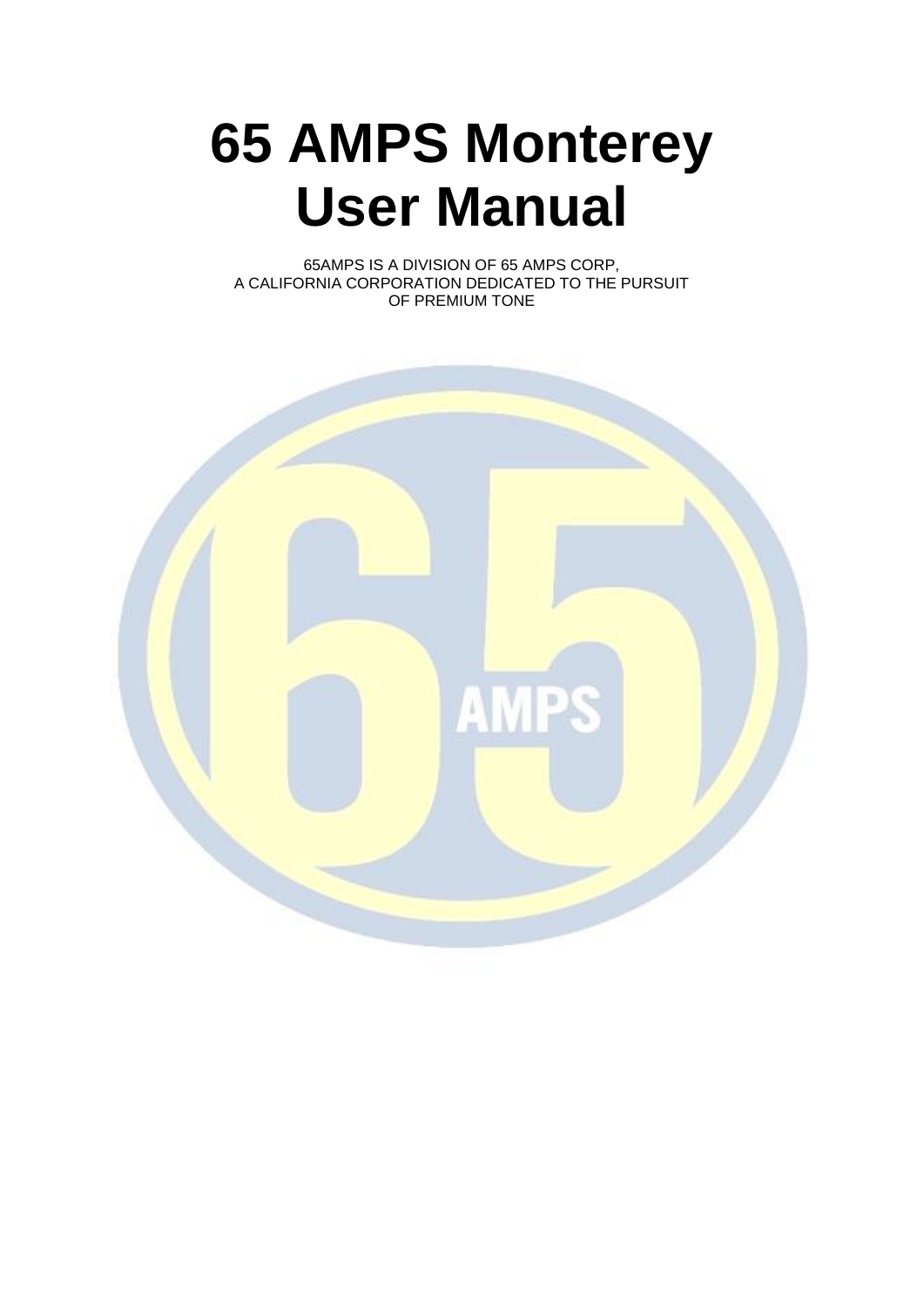# **65 AMPS Monterey User Manual**

65AMPS IS A DIVISION OF 65 AMPS CORP, A CALIFORNIA CORPORATION DEDICATED TO THE PURSUIT OF PREMIUM TONE

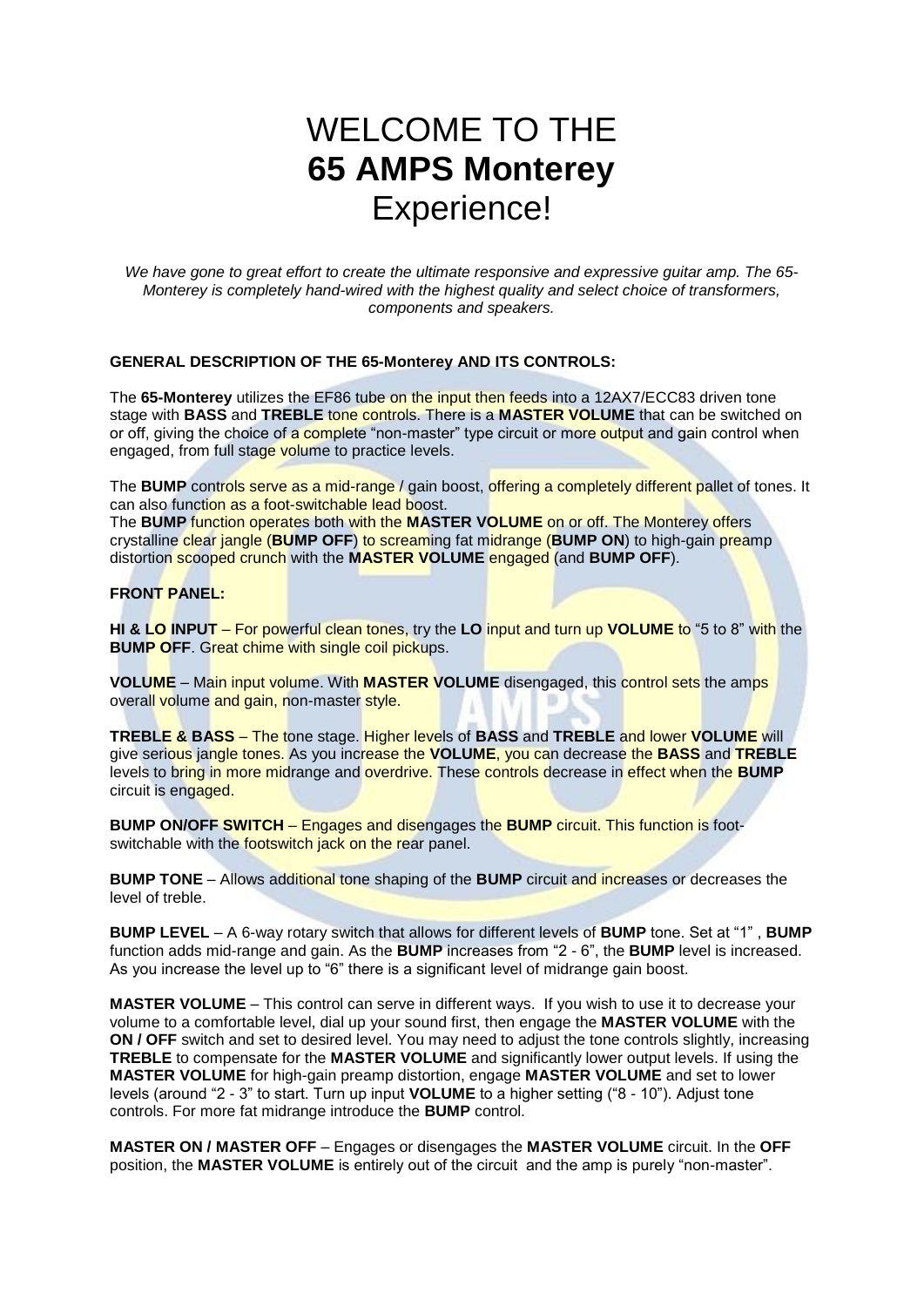# WELCOME TO THE **65 AMPS Monterey** Experience!

*We have gone to great effort to create the ultimate responsive and expressive guitar amp. The 65- Monterey is completely hand-wired with the highest quality and select choice of transformers, components and speakers.*

#### **GENERAL DESCRIPTION OF THE 65-Monterey AND ITS CONTROLS:**

The **65-Monterey** utilizes the EF86 tube on the input then feeds into a 12AX7/ECC83 driven tone stage with **BASS** and **TREBLE** tone controls. There is a **MASTER VOLUME** that can be switched on or off, giving the choice of a complete "non-master" type circuit or more output and gain control when engaged, from full stage volume to practice levels.

The **BUMP** controls serve as a mid-range / gain boost, offering a completely different pallet of tones. It can also function as a foot-switchable lead boost.

The **BUMP** function operates both with the **MASTER VOLUME** on or off. The Monterey offers crystalline clear jangle (**BUMP OFF**) to screaming fat midrange (**BUMP ON**) to high-gain preamp distortion scooped crunch with the **MASTER VOLUME** engaged (and **BUMP OFF**).

#### **FRONT PANEL:**

**HI & LO INPUT** – For powerful clean tones, try the **LO** input and turn up **VOLUME** to "5 to 8" with the **BUMP OFF.** Great chime with single coil pickups.

**VOLUME** – Main input volume. With **MASTER VOLUME** disengaged, this control sets the amps overall volume and gain, non-master style.

**TREBLE & BASS** – The tone stage. Higher levels of **BASS** and **TREBLE** and lower **VOLUME** will give serious jangle tones. As you increase the **VOLUME**, you can decrease the **BASS** and **TREBLE** levels to bring in more midrange and overdrive. These controls decrease in effect when the **BUMP** circuit is engaged.

**BUMP ON/OFF SWITCH** – Engages and disengages the **BUMP** circuit. This function is footswitchable with the footswitch jack on the rear panel.

**BUMP TONE** – Allows additional tone shaping of the **BUMP** circuit and increases or decreases the level of treble.

**BUMP LEVEL** – A 6-way rotary switch that allows for different levels of **BUMP** tone. Set at "1" , **BUMP** function adds mid-range and gain. As the **BUMP** increases from "2 - 6", the **BUMP** level is increased. As you increase the level up to "6" there is a significant level of midrange gain boost.

**MASTER VOLUME** – This control can serve in different ways. If you wish to use it to decrease your volume to a comfortable level, dial up your sound first, then engage the **MASTER VOLUME** with the **ON / OFF** switch and set to desired level. You may need to adjust the tone controls slightly, increasing **TREBLE** to compensate for the **MASTER VOLUME** and significantly lower output levels. If using the **MASTER VOLUME** for high-gain preamp distortion, engage **MASTER VOLUME** and set to lower levels (around "2 - 3" to start. Turn up input **VOLUME** to a higher setting ("8 - 10"). Adjust tone controls. For more fat midrange introduce the **BUMP** control.

**MASTER ON / MASTER OFF** – Engages or disengages the **MASTER VOLUME** circuit. In the **OFF** position, the **MASTER VOLUME** is entirely out of the circuit and the amp is purely "non-master".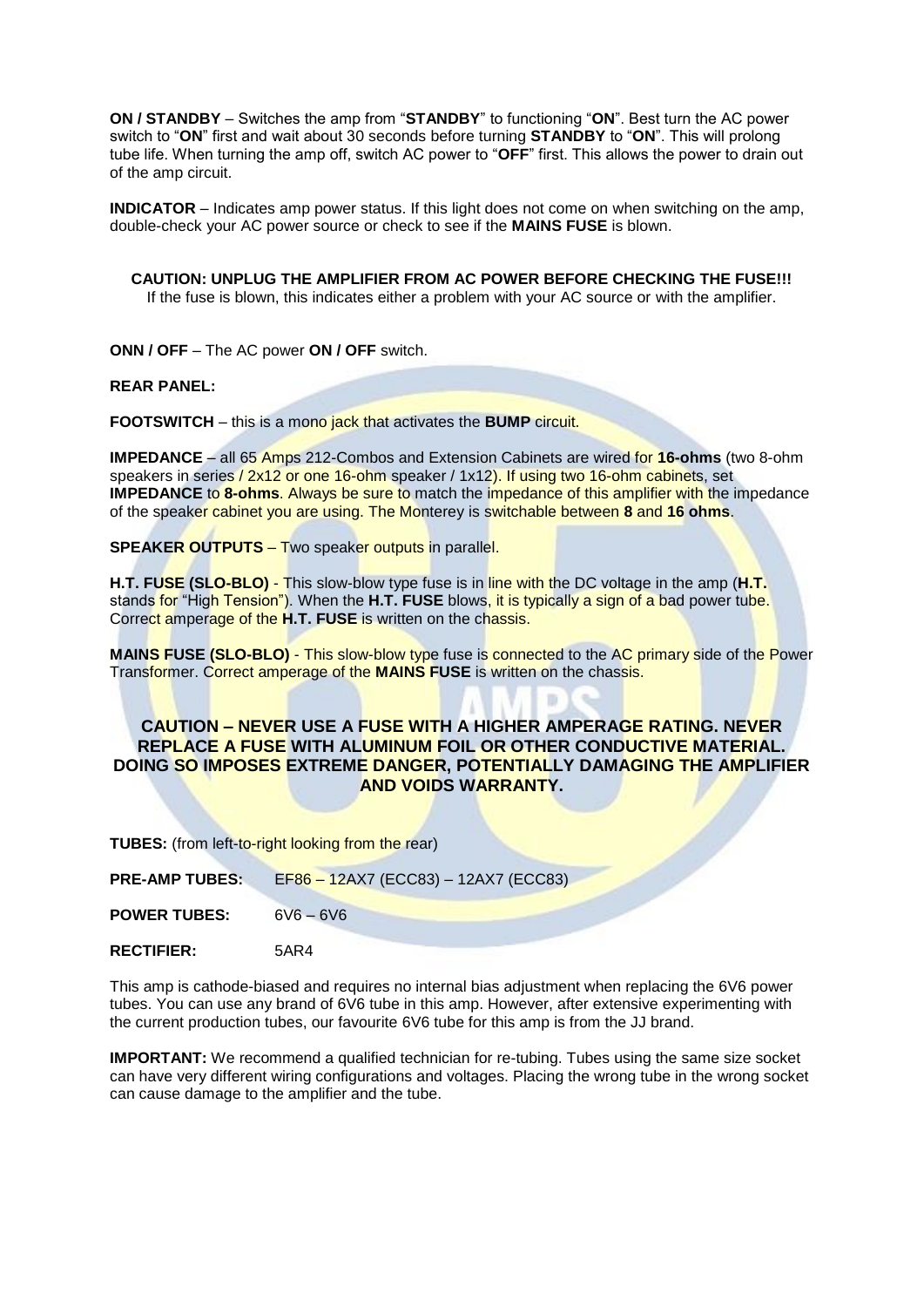**ON / STANDBY** – Switches the amp from "**STANDBY**" to functioning "**ON**". Best turn the AC power switch to "**ON**" first and wait about 30 seconds before turning **STANDBY** to "**ON**". This will prolong tube life. When turning the amp off, switch AC power to "**OFF**" first. This allows the power to drain out of the amp circuit.

**INDICATOR** – Indicates amp power status. If this light does not come on when switching on the amp, double-check your AC power source or check to see if the **MAINS FUSE** is blown.

**CAUTION: UNPLUG THE AMPLIFIER FROM AC POWER BEFORE CHECKING THE FUSE!!!** If the fuse is blown, this indicates either a problem with your AC source or with the amplifier.

**ONN / OFF** – The AC power **ON / OFF** switch.

**REAR PANEL:**

**FOOTSWITCH** – this is a mono jack that activates the **BUMP** circuit.

**IMPEDANCE** – all 65 Amps 212-Combos and Extension Cabinets are wired for **16-ohms** (two 8-ohm speakers in series / 2x12 or one 16-ohm speaker / 1x12). If using two 16-ohm cabinets, set **IMPEDANCE** to **8-ohms**. Always be sure to match the impedance of this amplifier with the impedance of the speaker cabinet you are using. The Monterey is switchable between **8** and **16 ohms**.

**SPEAKER OUTPUTS** – Two speaker outputs in parallel.

**H.T. FUSE (SLO-BLO)** - This slow-blow type fuse is in line with the DC voltage in the amp (**H.T.** stands for "High Tension"). When the **H.T. FUSE** blows, it is typically a sign of a bad power tube. Correct amperage of the **H.T. FUSE** is written on the chassis.

**MAINS FUSE (SLO-BLO)** - This slow-blow type fuse is connected to the AC primary side of the Power Transformer. Correct amperage of the **MAINS FUSE** is written on the chassis.

#### **CAUTION – NEVER USE A FUSE WITH A HIGHER AMPERAGE RATING. NEVER REPLACE A FUSE WITH ALUMINUM FOIL OR OTHER CONDUCTIVE MATERIAL. DOING SO IMPOSES EXTREME DANGER, POTENTIALLY DAMAGING THE AMPLIFIER AND VOIDS WARRANTY.**

**TUBES:** (from left-to-right looking from the rear)

| <b>PRE-AMP TUBES:</b> | EF86 - 12AX7 (ECC83) - 12AX7 (ECC83) |
|-----------------------|--------------------------------------|
| <b>POWER TUBES:</b>   | $6V6 - 6V6$                          |

**RECTIFIER:** 5AR4

This amp is cathode-biased and requires no internal bias adjustment when replacing the 6V6 power tubes. You can use any brand of 6V6 tube in this amp. However, after extensive experimenting with the current production tubes, our favourite 6V6 tube for this amp is from the JJ brand.

**IMPORTANT:** We recommend a qualified technician for re-tubing. Tubes using the same size socket can have very different wiring configurations and voltages. Placing the wrong tube in the wrong socket can cause damage to the amplifier and the tube.